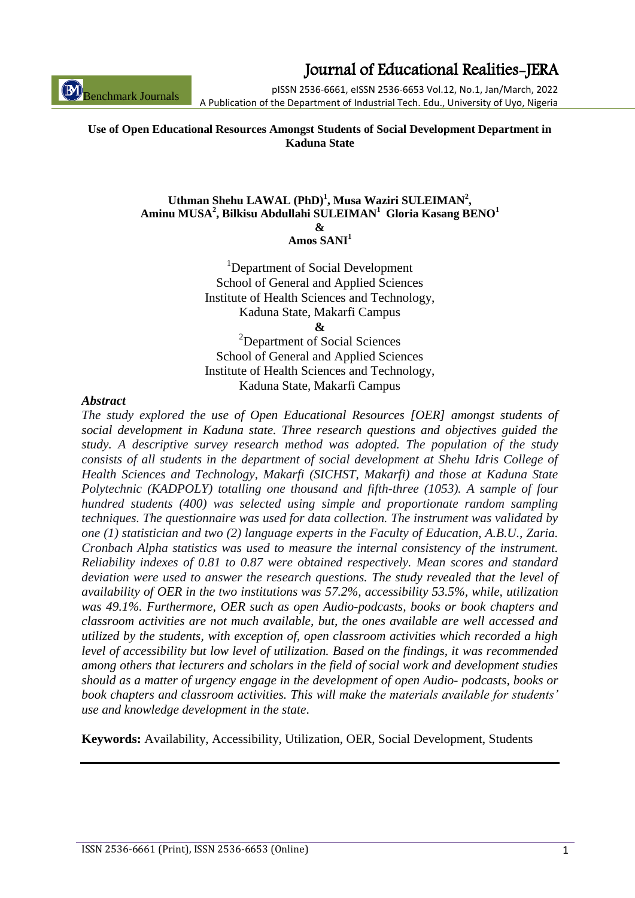ISSN 2536-6661 (Print), ISSN 2536-6653 (Online) 1

Journal of Educational Realities-JERA

pISSN 2536-6661, eISSN 2536-6653 Vol.12, No.1, Jan/March, 2022 A Publication of the Department of Industrial Tech. Edu., University of Uyo, Nigeria

#### **Use of Open Educational Resources Amongst Students of Social Development Department in Kaduna State**

#### Uthman Shehu LAWAL (PhD)<sup>1</sup>, Musa Waziri SULEIMAN<sup>2</sup>, **Aminu MUSA<sup>2</sup> , Bilkisu Abdullahi SULEIMAN<sup>1</sup>Gloria Kasang BENO<sup>1</sup> &**

**Amos SANI<sup>1</sup>**

<sup>1</sup>Department of Social Development School of General and Applied Sciences Institute of Health Sciences and Technology, Kaduna State, Makarfi Campus **&**

<sup>2</sup>Department of Social Sciences School of General and Applied Sciences Institute of Health Sciences and Technology, Kaduna State, Makarfi Campus

#### *Abstract*

Benchmark Journals

*The study explored the use of Open Educational Resources [OER] amongst students of social development in Kaduna state. Three research questions and objectives guided the study. A descriptive survey research method was adopted. The population of the study consists of all students in the department of social development at Shehu Idris College of Health Sciences and Technology, Makarfi (SICHST, Makarfi) and those at Kaduna State Polytechnic (KADPOLY) totalling one thousand and fifth-three (1053). A sample of four hundred students (400) was selected using simple and proportionate random sampling techniques. The questionnaire was used for data collection. The instrument was validated by one (1) statistician and two (2) language experts in the Faculty of Education, A.B.U., Zaria. Cronbach Alpha statistics was used to measure the internal consistency of the instrument. Reliability indexes of 0.81 to 0.87 were obtained respectively. Mean scores and standard deviation were used to answer the research questions. The study revealed that the level of availability of OER in the two institutions was 57.2%, accessibility 53.5%, while, utilization was 49.1%. Furthermore, OER such as open Audio-podcasts, books or book chapters and classroom activities are not much available, but, the ones available are well accessed and utilized by the students, with exception of, open classroom activities which recorded a high level of accessibility but low level of utilization. Based on the findings, it was recommended among others that lecturers and scholars in the field of social work and development studies should as a matter of urgency engage in the development of open Audio- podcasts, books or book chapters and classroom activities. This will make the materials available for students' use and knowledge development in the state*.

**Keywords:** Availability, Accessibility, Utilization, OER, Social Development, Students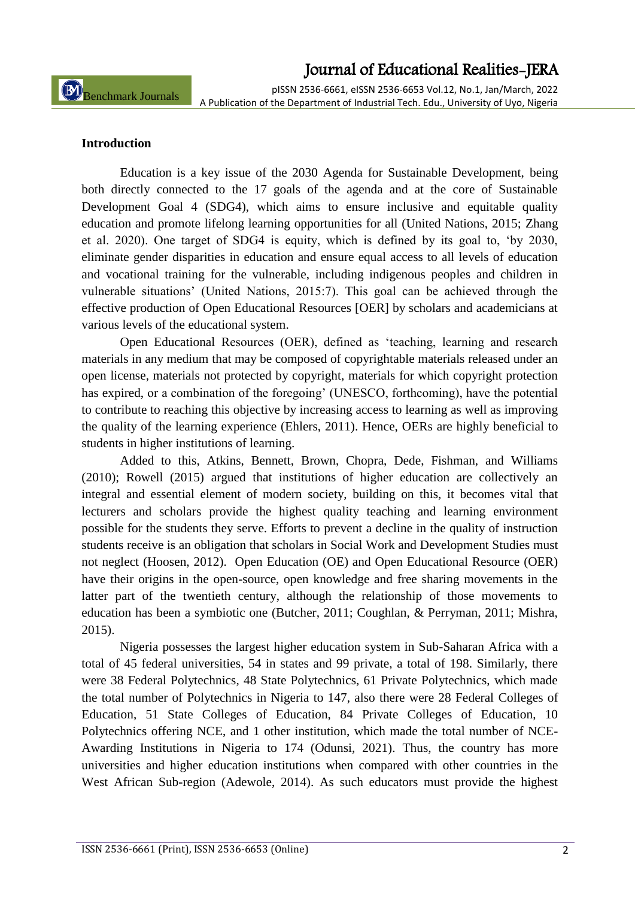pISSN 2536-6661, eISSN 2536-6653 Vol.12, No.1, Jan/March, 2022 A Publication of the Department of Industrial Tech. Edu., University of Uyo, Nigeria

#### **Introduction**

Education is a key issue of the 2030 Agenda for Sustainable Development, being both directly connected to the 17 goals of the agenda and at the core of Sustainable Development Goal 4 (SDG4), which aims to ensure inclusive and equitable quality education and promote lifelong learning opportunities for all (United Nations, 2015; Zhang et al. 2020). One target of SDG4 is equity, which is defined by its goal to, 'by 2030, eliminate gender disparities in education and ensure equal access to all levels of education and vocational training for the vulnerable, including indigenous peoples and children in vulnerable situations' (United Nations, 2015:7). This goal can be achieved through the effective production of Open Educational Resources [OER] by scholars and academicians at various levels of the educational system.

Open Educational Resources (OER), defined as 'teaching, learning and research materials in any medium that may be composed of copyrightable materials released under an open license, materials not protected by copyright, materials for which copyright protection has expired, or a combination of the foregoing' (UNESCO, forthcoming), have the potential to contribute to reaching this objective by increasing access to learning as well as improving the quality of the learning experience (Ehlers, 2011). Hence, OERs are highly beneficial to students in higher institutions of learning.

Added to this, Atkins, Bennett, Brown, Chopra, Dede, Fishman, and Williams (2010); Rowell (2015) argued that institutions of higher education are collectively an integral and essential element of modern society, building on this, it becomes vital that lecturers and scholars provide the highest quality teaching and learning environment possible for the students they serve. Efforts to prevent a decline in the quality of instruction students receive is an obligation that scholars in Social Work and Development Studies must not neglect (Hoosen, 2012). Open Education (OE) and Open Educational Resource (OER) have their origins in the open-source, open knowledge and free sharing movements in the latter part of the twentieth century, although the relationship of those movements to education has been a symbiotic one (Butcher, 2011; Coughlan, & Perryman, 2011; Mishra, 2015).

Nigeria possesses the largest higher education system in Sub-Saharan Africa with a total of 45 federal universities, 54 in states and 99 private, a total of 198. Similarly, there were 38 Federal Polytechnics, 48 State Polytechnics, 61 Private Polytechnics, which made the total number of Polytechnics in Nigeria to 147, also there were 28 Federal Colleges of Education, 51 State Colleges of Education, 84 Private Colleges of Education, 10 Polytechnics offering NCE, and 1 other institution, which made the total number of NCE-Awarding Institutions in Nigeria to 174 (Odunsi, 2021). Thus, the country has more universities and higher education institutions when compared with other countries in the West African Sub-region (Adewole, 2014). As such educators must provide the highest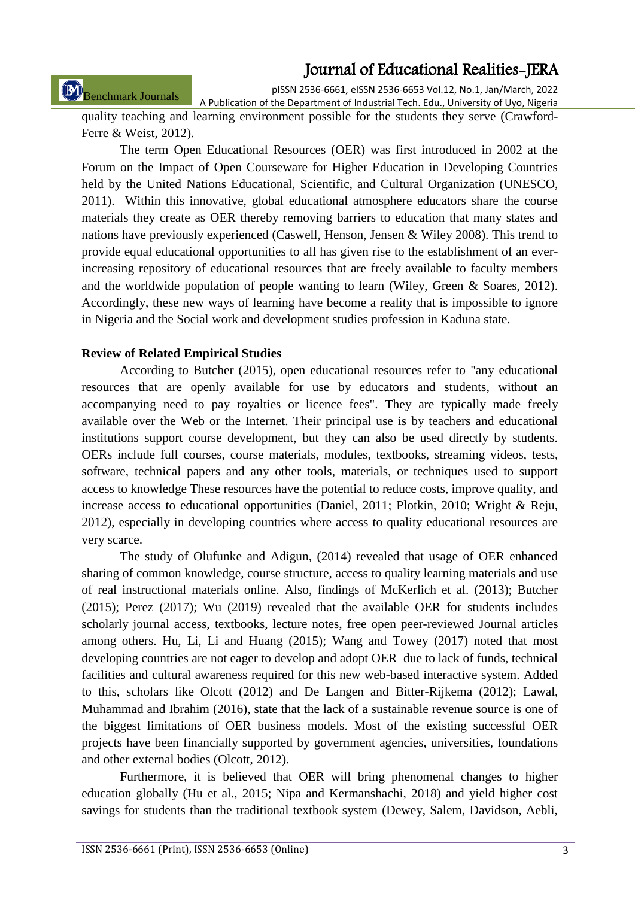Benchmark Journals

pISSN 2536-6661, eISSN 2536-6653 Vol.12, No.1, Jan/March, 2022

A Publication of the Department of Industrial Tech. Edu., University of Uyo, Nigeria quality teaching and learning environment possible for the students they serve (Crawford-Ferre & Weist, 2012).

The term Open Educational Resources (OER) was first introduced in 2002 at the Forum on the Impact of Open Courseware for Higher Education in Developing Countries held by the United Nations Educational, Scientific, and Cultural Organization (UNESCO, 2011). Within this innovative, global educational atmosphere educators share the course materials they create as OER thereby removing barriers to education that many states and nations have previously experienced (Caswell, Henson, Jensen & Wiley 2008). This trend to provide equal educational opportunities to all has given rise to the establishment of an everincreasing repository of educational resources that are freely available to faculty members and the worldwide population of people wanting to learn (Wiley, Green & Soares, 2012). Accordingly, these new ways of learning have become a reality that is impossible to ignore in Nigeria and the Social work and development studies profession in Kaduna state.

### **Review of Related Empirical Studies**

According to Butcher (2015), open educational resources refer to "any educational resources that are openly available for use by educators and students, without an accompanying need to pay royalties or licence fees". They are typically made freely available over the Web or the Internet. Their principal use is by teachers and educational institutions support course development, but they can also be used directly by students. OERs include full courses, course materials, modules, textbooks, streaming videos, tests, software, technical papers and any other tools, materials, or techniques used to support access to knowledge These resources have the potential to reduce costs, improve quality, and increase access to educational opportunities (Daniel, 2011; Plotkin, 2010; Wright & Reju, 2012), especially in developing countries where access to quality educational resources are very scarce.

The study of Olufunke and Adigun, (2014) revealed that usage of OER enhanced sharing of common knowledge, course structure, access to quality learning materials and use of real instructional materials online. Also, findings of McKerlich et al. (2013); Butcher (2015); Perez (2017); Wu (2019) revealed that the available OER for students includes scholarly journal access, textbooks, lecture notes, free open peer-reviewed Journal articles among others. Hu, Li, Li and Huang (2015); Wang and Towey (2017) noted that most developing countries are not eager to develop and adopt OER due to lack of funds, technical facilities and cultural awareness required for this new web-based interactive system. Added to this, scholars like Olcott (2012) and De Langen and Bitter-Rijkema (2012); Lawal, Muhammad and Ibrahim (2016), state that the lack of a sustainable revenue source is one of the biggest limitations of OER business models. Most of the existing successful OER projects have been financially supported by government agencies, universities, foundations and other external bodies (Olcott, 2012).

Furthermore, it is believed that OER will bring phenomenal changes to higher education globally (Hu et al., 2015; Nipa and Kermanshachi, 2018) and yield higher cost savings for students than the traditional textbook system (Dewey, Salem, Davidson, Aebli,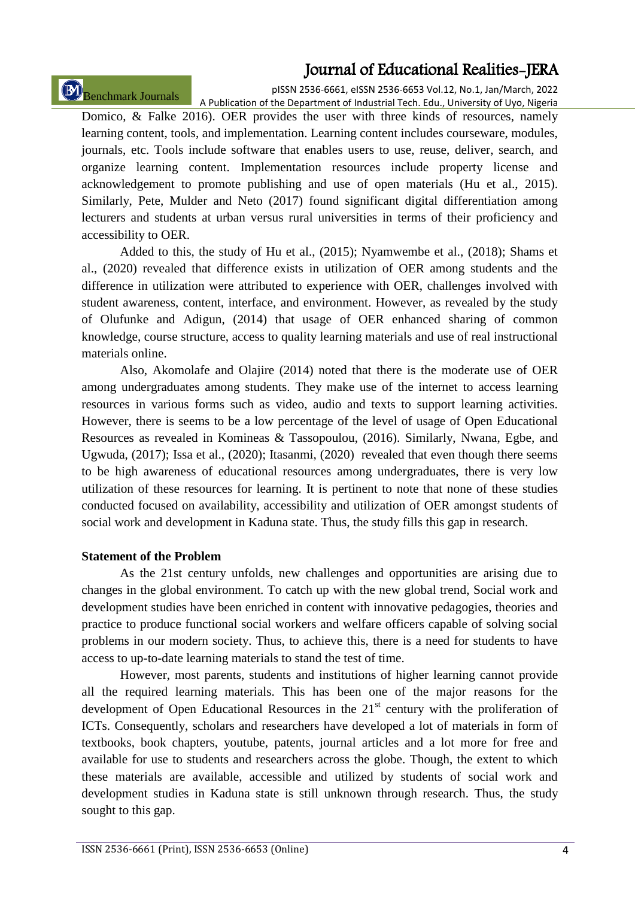# Benchmark Journals

pISSN 2536-6661, eISSN 2536-6653 Vol.12, No.1, Jan/March, 2022 A Publication of the Department of Industrial Tech. Edu., University of Uyo, Nigeria

Domico, & Falke 2016). OER provides the user with three kinds of resources, namely learning content, tools, and implementation. Learning content includes courseware, modules, journals, etc. Tools include software that enables users to use, reuse, deliver, search, and organize learning content. Implementation resources include property license and acknowledgement to promote publishing and use of open materials (Hu et al., 2015). Similarly, Pete, Mulder and Neto (2017) found significant digital differentiation among lecturers and students at urban versus rural universities in terms of their proficiency and accessibility to OER.

Added to this, the study of Hu et al., (2015); Nyamwembe et al., (2018); Shams et al., (2020) revealed that difference exists in utilization of OER among students and the difference in utilization were attributed to experience with OER, challenges involved with student awareness, content, interface, and environment. However, as revealed by the study of Olufunke and Adigun, (2014) that usage of OER enhanced sharing of common knowledge, course structure, access to quality learning materials and use of real instructional materials online.

Also, Akomolafe and Olajire (2014) noted that there is the moderate use of OER among undergraduates among students. They make use of the internet to access learning resources in various forms such as video, audio and texts to support learning activities. However, there is seems to be a low percentage of the level of usage of Open Educational Resources as revealed in Komineas & Tassopoulou, (2016). Similarly, Nwana, Egbe, and Ugwuda, (2017); Issa et al., (2020); Itasanmi, (2020) revealed that even though there seems to be high awareness of educational resources among undergraduates, there is very low utilization of these resources for learning. It is pertinent to note that none of these studies conducted focused on availability, accessibility and utilization of OER amongst students of social work and development in Kaduna state. Thus, the study fills this gap in research.

#### **Statement of the Problem**

As the 21st century unfolds, new challenges and opportunities are arising due to changes in the global environment. To catch up with the new global trend, Social work and development studies have been enriched in content with innovative pedagogies, theories and practice to produce functional social workers and welfare officers capable of solving social problems in our modern society. Thus, to achieve this, there is a need for students to have access to up-to-date learning materials to stand the test of time.

However, most parents, students and institutions of higher learning cannot provide all the required learning materials. This has been one of the major reasons for the development of Open Educational Resources in the  $21<sup>st</sup>$  century with the proliferation of ICTs. Consequently, scholars and researchers have developed a lot of materials in form of textbooks, book chapters, youtube, patents, journal articles and a lot more for free and available for use to students and researchers across the globe. Though, the extent to which these materials are available, accessible and utilized by students of social work and development studies in Kaduna state is still unknown through research. Thus, the study sought to this gap.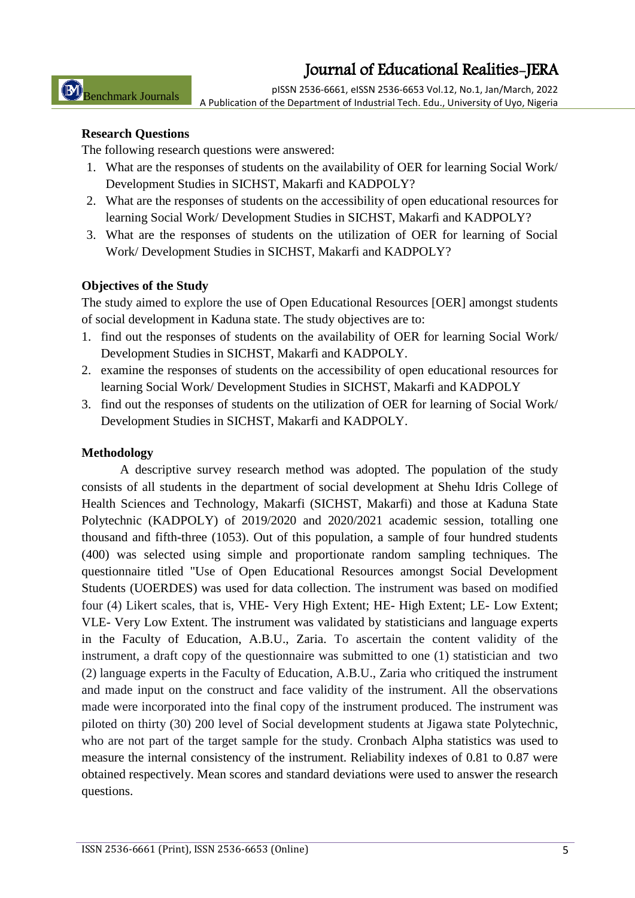pISSN 2536-6661, eISSN 2536-6653 Vol.12, No.1, Jan/March, 2022 A Publication of the Department of Industrial Tech. Edu., University of Uyo, Nigeria

#### **Research Questions**

The following research questions were answered:

- 1. What are the responses of students on the availability of OER for learning Social Work/ Development Studies in SICHST, Makarfi and KADPOLY?
- 2. What are the responses of students on the accessibility of open educational resources for learning Social Work/ Development Studies in SICHST, Makarfi and KADPOLY?
- 3. What are the responses of students on the utilization of OER for learning of Social Work/ Development Studies in SICHST, Makarfi and KADPOLY?

### **Objectives of the Study**

The study aimed to explore the use of Open Educational Resources [OER] amongst students of social development in Kaduna state. The study objectives are to:

- 1. find out the responses of students on the availability of OER for learning Social Work/ Development Studies in SICHST, Makarfi and KADPOLY.
- 2. examine the responses of students on the accessibility of open educational resources for learning Social Work/ Development Studies in SICHST, Makarfi and KADPOLY
- 3. find out the responses of students on the utilization of OER for learning of Social Work/ Development Studies in SICHST, Makarfi and KADPOLY.

### **Methodology**

A descriptive survey research method was adopted. The population of the study consists of all students in the department of social development at Shehu Idris College of Health Sciences and Technology, Makarfi (SICHST, Makarfi) and those at Kaduna State Polytechnic (KADPOLY) of 2019/2020 and 2020/2021 academic session, totalling one thousand and fifth-three (1053). Out of this population, a sample of four hundred students (400) was selected using simple and proportionate random sampling techniques. The questionnaire titled "Use of Open Educational Resources amongst Social Development Students (UOERDES) was used for data collection. The instrument was based on modified four (4) Likert scales, that is, VHE- Very High Extent; HE- High Extent; LE- Low Extent; VLE- Very Low Extent. The instrument was validated by statisticians and language experts in the Faculty of Education, A.B.U., Zaria. To ascertain the content validity of the instrument, a draft copy of the questionnaire was submitted to one (1) statistician and two (2) language experts in the Faculty of Education, A.B.U., Zaria who critiqued the instrument and made input on the construct and face validity of the instrument. All the observations made were incorporated into the final copy of the instrument produced. The instrument was piloted on thirty (30) 200 level of Social development students at Jigawa state Polytechnic, who are not part of the target sample for the study. Cronbach Alpha statistics was used to measure the internal consistency of the instrument. Reliability indexes of 0.81 to 0.87 were obtained respectively. Mean scores and standard deviations were used to answer the research questions.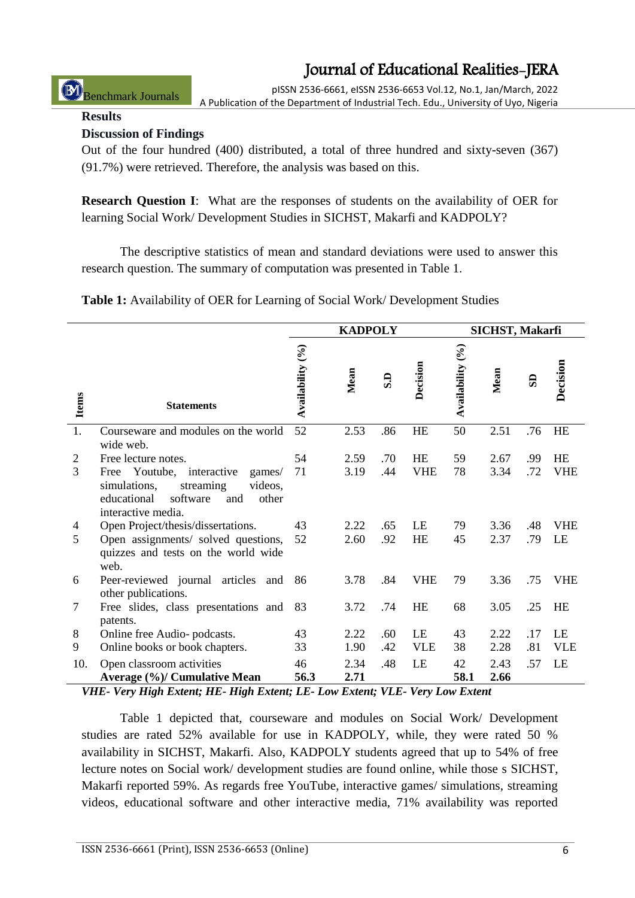pISSN 2536-6661, eISSN 2536-6653 Vol.12, No.1, Jan/March, 2022 A Publication of the Department of Industrial Tech. Edu., University of Uyo, Nigeria

#### **Results**

Benchmark Journals

### **Discussion of Findings**

Out of the four hundred (400) distributed, a total of three hundred and sixty-seven (367) (91.7%) were retrieved. Therefore, the analysis was based on this.

**Research Question I**: What are the responses of students on the availability of OER for learning Social Work/ Development Studies in SICHST, Makarfi and KADPOLY?

The descriptive statistics of mean and standard deviations were used to answer this research question. The summary of computation was presented in Table 1.

**Table 1:** Availability of OER for Learning of Social Work/ Development Studies

|                |                                                                                                                                              | <b>KADPOLY</b>   |              |                           |            | SICHST, Makarfi  |              |     |            |  |
|----------------|----------------------------------------------------------------------------------------------------------------------------------------------|------------------|--------------|---------------------------|------------|------------------|--------------|-----|------------|--|
| <b>Items</b>   | <b>Statements</b>                                                                                                                            | Availability (%) | Mean         | $\overline{\mathbf{s}}$ . | Decision   | Availability (%) | Mean         | සි  | Decision   |  |
| 1.             | Courseware and modules on the world<br>wide web.                                                                                             | 52               | 2.53         | .86                       | <b>HE</b>  | 50               | 2.51         | .76 | HE         |  |
| $\overline{2}$ | Free lecture notes.                                                                                                                          | 54               | 2.59         | .70                       | HE         | 59               | 2.67         | .99 | HE         |  |
| 3              | Free Youtube, interactive<br>games/<br>videos,<br>simulations,<br>streaming<br>educational<br>software<br>and<br>other<br>interactive media. | 71               | 3.19         | .44                       | <b>VHE</b> | 78               | 3.34         | .72 | <b>VHE</b> |  |
| 4              | Open Project/thesis/dissertations.                                                                                                           | 43               | 2.22         | .65                       | LE         | 79               | 3.36         | .48 | <b>VHE</b> |  |
| 5              | Open assignments/ solved questions,<br>quizzes and tests on the world wide<br>web.                                                           | 52               | 2.60         | .92                       | <b>HE</b>  | 45               | 2.37         | .79 | LE         |  |
| 6              | Peer-reviewed journal articles<br>and<br>other publications.                                                                                 | 86               | 3.78         | .84                       | <b>VHE</b> | 79               | 3.36         | .75 | <b>VHE</b> |  |
| $\overline{7}$ | Free slides, class presentations and<br>patents.                                                                                             | 83               | 3.72         | .74                       | HE         | 68               | 3.05         | .25 | HE         |  |
| 8              | Online free Audio- podcasts.                                                                                                                 | 43               | 2.22         | .60                       | LE         | 43               | 2.22         | .17 | LE         |  |
| 9              | Online books or book chapters.                                                                                                               | 33               | 1.90         | .42                       | <b>VLE</b> | 38               | 2.28         | .81 | <b>VLE</b> |  |
| 10.            | Open classroom activities<br>Average (%)/ Cumulative Mean                                                                                    | 46<br>56.3       | 2.34<br>2.71 | .48                       | LE         | 42<br>58.1       | 2.43<br>2.66 | .57 | LE         |  |

*VHE- Very High Extent; HE- High Extent; LE- Low Extent; VLE- Very Low Extent*

Table 1 depicted that, courseware and modules on Social Work/ Development studies are rated 52% available for use in KADPOLY, while, they were rated 50 % availability in SICHST, Makarfi. Also, KADPOLY students agreed that up to 54% of free lecture notes on Social work/ development studies are found online, while those s SICHST, Makarfi reported 59%. As regards free YouTube, interactive games/ simulations, streaming videos, educational software and other interactive media, 71% availability was reported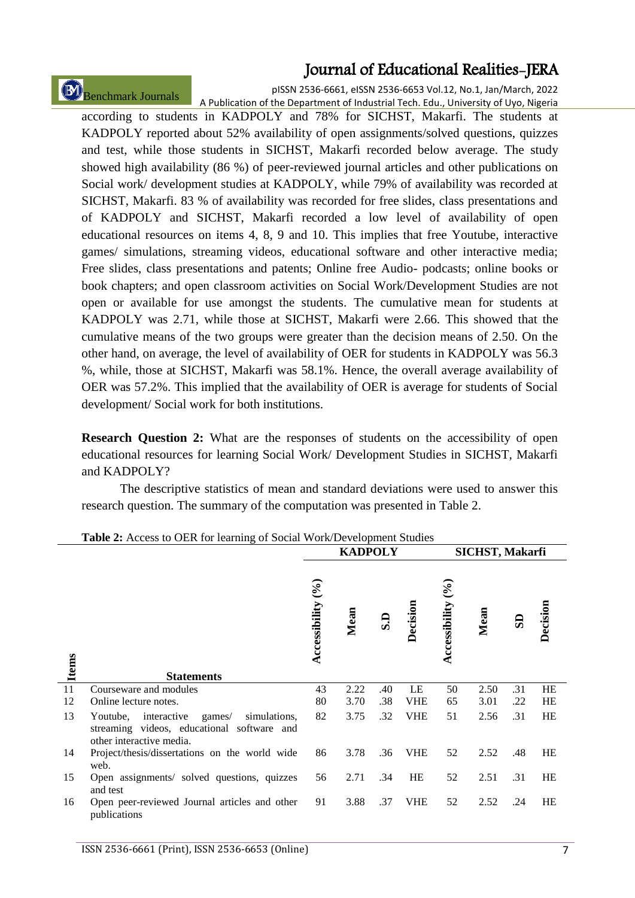Benchmark Journals

pISSN 2536-6661, eISSN 2536-6653 Vol.12, No.1, Jan/March, 2022 A Publication of the Department of Industrial Tech. Edu., University of Uyo, Nigeria

according to students in KADPOLY and 78% for SICHST, Makarfi. The students at KADPOLY reported about 52% availability of open assignments/solved questions, quizzes and test, while those students in SICHST, Makarfi recorded below average. The study showed high availability (86 %) of peer-reviewed journal articles and other publications on Social work/ development studies at KADPOLY, while 79% of availability was recorded at SICHST, Makarfi. 83 % of availability was recorded for free slides, class presentations and of KADPOLY and SICHST, Makarfi recorded a low level of availability of open educational resources on items 4, 8, 9 and 10. This implies that free Youtube, interactive games/ simulations, streaming videos, educational software and other interactive media; Free slides, class presentations and patents; Online free Audio- podcasts; online books or book chapters; and open classroom activities on Social Work/Development Studies are not open or available for use amongst the students. The cumulative mean for students at KADPOLY was 2.71, while those at SICHST, Makarfi were 2.66. This showed that the cumulative means of the two groups were greater than the decision means of 2.50. On the other hand, on average, the level of availability of OER for students in KADPOLY was 56.3 %, while, those at SICHST, Makarfi was 58.1%. Hence, the overall average availability of OER was 57.2%. This implied that the availability of OER is average for students of Social development/ Social work for both institutions.

**Research Question 2:** What are the responses of students on the accessibility of open educational resources for learning Social Work/ Development Studies in SICHST, Makarfi and KADPOLY?

The descriptive statistics of mean and standard deviations were used to answer this research question. The summary of the computation was presented in Table 2.

|              |                                                                                                                          | $\frac{1}{2}$<br><b>KADPOLY</b> |      |              |            | SICHST, Makarfi               |      |     |           |  |
|--------------|--------------------------------------------------------------------------------------------------------------------------|---------------------------------|------|--------------|------------|-------------------------------|------|-----|-----------|--|
| <b>Items</b> |                                                                                                                          | Accessibility $(°6)$            | Mean | $\mathbf{S}$ | Decision   | $\mathcal{S}$<br>ccessibility | Mean | සි  | Decision  |  |
|              | <b>Statements</b>                                                                                                        |                                 |      |              |            |                               |      |     |           |  |
| 11           | Courseware and modules                                                                                                   | 43                              | 2.22 | .40          | LE         | 50                            | 2.50 | .31 | HE        |  |
| 12           | Online lecture notes.                                                                                                    | 80                              | 3.70 | .38          | <b>VHE</b> | 65                            | 3.01 | .22 | <b>HE</b> |  |
| 13           | Youtube, interactive<br>games/<br>simulations,<br>streaming videos, educational software and<br>other interactive media. | 82                              | 3.75 | .32          | <b>VHE</b> | 51                            | 2.56 | .31 | <b>HE</b> |  |
| 14           | Project/thesis/dissertations on the world wide<br>web.                                                                   | 86                              | 3.78 | .36          | <b>VHE</b> | 52                            | 2.52 | .48 | <b>HE</b> |  |
| 15           | Open assignments/ solved questions, quizzes<br>and test                                                                  | 56                              | 2.71 | .34          | HE         | 52                            | 2.51 | .31 | HE        |  |
| 16           | Open peer-reviewed Journal articles and other<br>publications                                                            | 91                              | 3.88 | .37          | <b>VHE</b> | 52                            | 2.52 | .24 | <b>HE</b> |  |

**Table 2:** Access to OER for learning of Social Work/Development Studies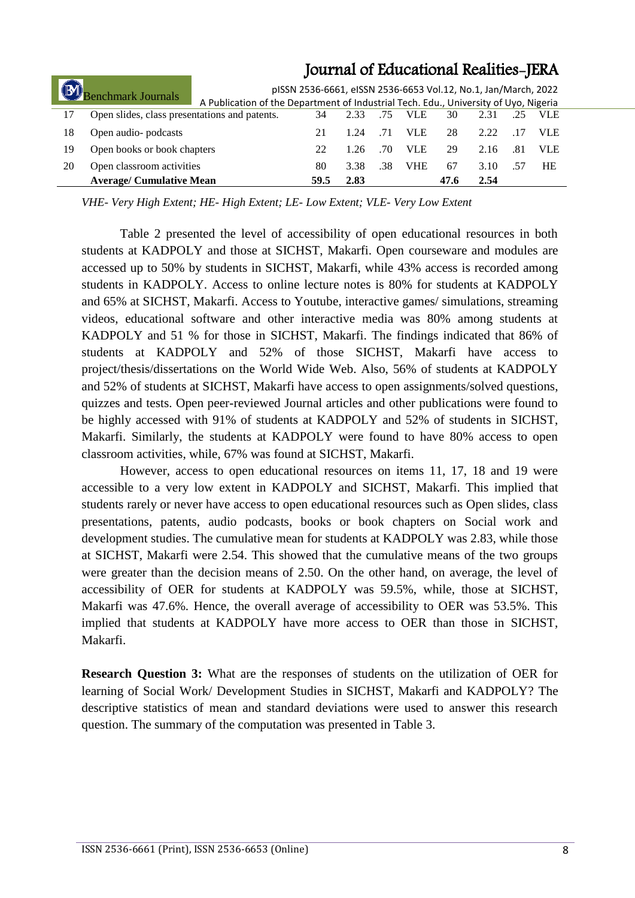| Benchmark Journals |                                               |                                                                                      | pISSN 2536-6661, eISSN 2536-6653 Vol.12, No.1, Jan/March, 2022 |      |     |            |      |      |     |            |
|--------------------|-----------------------------------------------|--------------------------------------------------------------------------------------|----------------------------------------------------------------|------|-----|------------|------|------|-----|------------|
|                    |                                               | A Publication of the Department of Industrial Tech. Edu., University of Uyo, Nigeria |                                                                |      |     |            |      |      |     |            |
| 17                 | Open slides, class presentations and patents. |                                                                                      | 34                                                             | 2.33 | .75 | <b>VLE</b> | 30   | 2.31 | .25 | <b>VLE</b> |
| 18                 | Open audio- podcasts                          |                                                                                      |                                                                | 1.24 | .71 | VLE.       | 28   | 2.22 | .17 | VLE.       |
| 19                 | Open books or book chapters                   |                                                                                      | 22                                                             | 1.26 | .70 | VLE        | 29   | 2.16 | .81 | VLE.       |
| 20                 | Open classroom activities                     |                                                                                      | 80                                                             | 3.38 | .38 | <b>VHE</b> | 67   | 3.10 | .57 | HE         |
|                    | <b>Average/ Cumulative Mean</b>               |                                                                                      | 59.5                                                           | 2.83 |     |            | 47.6 | 2.54 |     |            |

*VHE- Very High Extent; HE- High Extent; LE- Low Extent; VLE- Very Low Extent*

Table 2 presented the level of accessibility of open educational resources in both students at KADPOLY and those at SICHST, Makarfi. Open courseware and modules are accessed up to 50% by students in SICHST, Makarfi, while 43% access is recorded among students in KADPOLY. Access to online lecture notes is 80% for students at KADPOLY and 65% at SICHST, Makarfi. Access to Youtube, interactive games/ simulations, streaming videos, educational software and other interactive media was 80% among students at KADPOLY and 51 % for those in SICHST, Makarfi. The findings indicated that 86% of students at KADPOLY and 52% of those SICHST, Makarfi have access to project/thesis/dissertations on the World Wide Web. Also, 56% of students at KADPOLY and 52% of students at SICHST, Makarfi have access to open assignments/solved questions, quizzes and tests. Open peer-reviewed Journal articles and other publications were found to be highly accessed with 91% of students at KADPOLY and 52% of students in SICHST, Makarfi. Similarly, the students at KADPOLY were found to have 80% access to open classroom activities, while, 67% was found at SICHST, Makarfi.

However, access to open educational resources on items 11, 17, 18 and 19 were accessible to a very low extent in KADPOLY and SICHST, Makarfi. This implied that students rarely or never have access to open educational resources such as Open slides, class presentations, patents, audio podcasts, books or book chapters on Social work and development studies. The cumulative mean for students at KADPOLY was 2.83, while those at SICHST, Makarfi were 2.54. This showed that the cumulative means of the two groups were greater than the decision means of 2.50. On the other hand, on average, the level of accessibility of OER for students at KADPOLY was 59.5%, while, those at SICHST, Makarfi was 47.6%. Hence, the overall average of accessibility to OER was 53.5%. This implied that students at KADPOLY have more access to OER than those in SICHST, Makarfi.

**Research Question 3:** What are the responses of students on the utilization of OER for learning of Social Work/ Development Studies in SICHST, Makarfi and KADPOLY? The descriptive statistics of mean and standard deviations were used to answer this research question. The summary of the computation was presented in Table 3.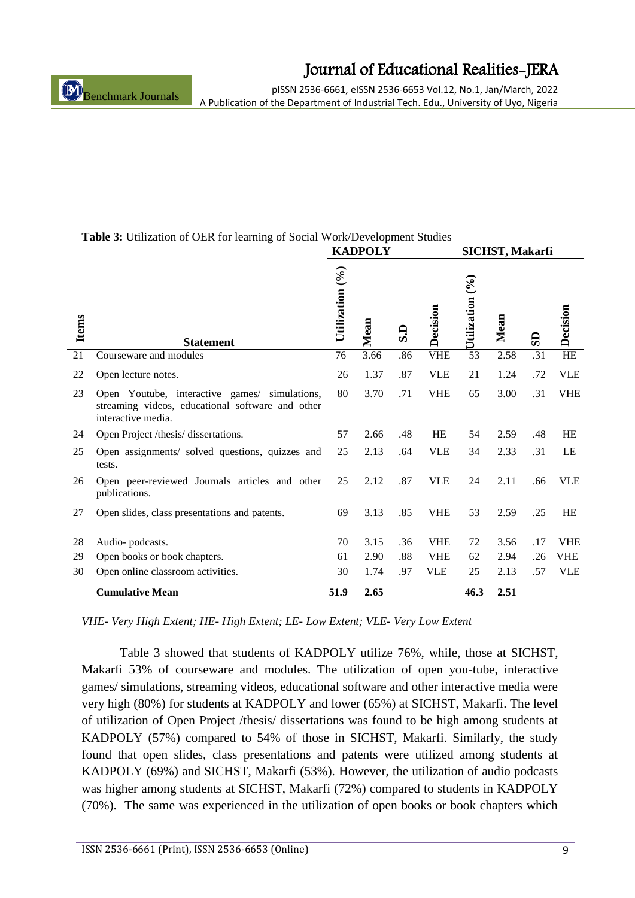pISSN 2536-6661, eISSN 2536-6653 Vol.12, No.1, Jan/March, 2022 A Publication of the Department of Industrial Tech. Edu., University of Uyo, Nigeria

|  | Table 3: Utilization of OER for learning of Social Work/Development Studies |  |
|--|-----------------------------------------------------------------------------|--|

|              |                                                                                                                         | <b>KADPOLY</b><br>SICHST, Makarfi |      |     |            |                  |      |     |            |
|--------------|-------------------------------------------------------------------------------------------------------------------------|-----------------------------------|------|-----|------------|------------------|------|-----|------------|
| <b>Items</b> | <b>Statement</b>                                                                                                        | Utilization (%)                   | Mean | G.S | Decision   | Utilization $(%$ | Mean | SD  | Decision   |
| 21           | Courseware and modules                                                                                                  | 76                                | 3.66 | .86 | <b>VHE</b> | 53               | 2.58 | .31 | $\rm HE$   |
| 22           | Open lecture notes.                                                                                                     | 26                                | 1.37 | .87 | <b>VLE</b> | 21               | 1.24 | .72 | <b>VLE</b> |
| 23           | Open Youtube, interactive games/ simulations,<br>streaming videos, educational software and other<br>interactive media. | 80                                | 3.70 | .71 | <b>VHE</b> | 65               | 3.00 | .31 | <b>VHE</b> |
| 24           | Open Project /thesis/ dissertations.                                                                                    | 57                                | 2.66 | .48 | HE         | 54               | 2.59 | .48 | <b>HE</b>  |
| 25           | Open assignments/ solved questions, quizzes and<br>tests.                                                               | 25                                | 2.13 | .64 | <b>VLE</b> | 34               | 2.33 | .31 | LE         |
| 26           | Open peer-reviewed Journals articles and other<br>publications.                                                         | 25                                | 2.12 | .87 | <b>VLE</b> | 24               | 2.11 | .66 | <b>VLE</b> |
| 27           | Open slides, class presentations and patents.                                                                           | 69                                | 3.13 | .85 | <b>VHE</b> | 53               | 2.59 | .25 | <b>HE</b>  |
| 28           | Audio-podcasts.                                                                                                         | 70                                | 3.15 | .36 | <b>VHE</b> | 72               | 3.56 | .17 | <b>VHE</b> |
| 29           | Open books or book chapters.                                                                                            | 61                                | 2.90 | .88 | <b>VHE</b> | 62               | 2.94 | .26 | VHE        |
| 30           | Open online classroom activities.                                                                                       | 30                                | 1.74 | .97 | <b>VLE</b> | 25               | 2.13 | .57 | <b>VLE</b> |
|              | <b>Cumulative Mean</b>                                                                                                  | 51.9                              | 2.65 |     |            | 46.3             | 2.51 |     |            |

*VHE- Very High Extent; HE- High Extent; LE- Low Extent; VLE- Very Low Extent*

Table 3 showed that students of KADPOLY utilize 76%, while, those at SICHST, Makarfi 53% of courseware and modules. The utilization of open you-tube, interactive games/ simulations, streaming videos, educational software and other interactive media were very high (80%) for students at KADPOLY and lower (65%) at SICHST, Makarfi. The level of utilization of Open Project /thesis/ dissertations was found to be high among students at KADPOLY (57%) compared to 54% of those in SICHST, Makarfi. Similarly, the study found that open slides, class presentations and patents were utilized among students at KADPOLY (69%) and SICHST, Makarfi (53%). However, the utilization of audio podcasts was higher among students at SICHST, Makarfi (72%) compared to students in KADPOLY (70%). The same was experienced in the utilization of open books or book chapters which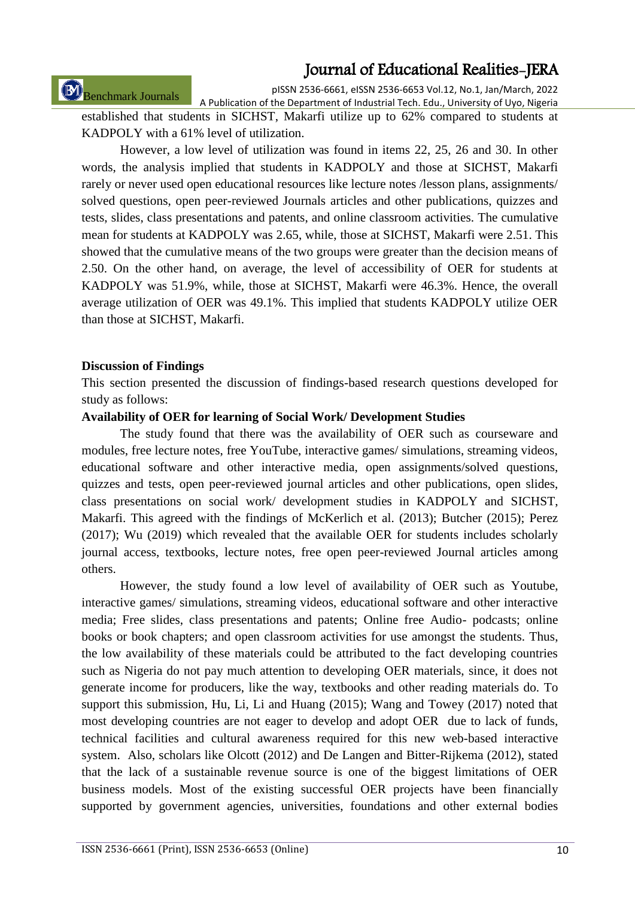Benchmark Journals

pISSN 2536-6661, eISSN 2536-6653 Vol.12, No.1, Jan/March, 2022

A Publication of the Department of Industrial Tech. Edu., University of Uyo, Nigeria established that students in SICHST, Makarfi utilize up to 62% compared to students at KADPOLY with a 61% level of utilization.

However, a low level of utilization was found in items 22, 25, 26 and 30. In other words, the analysis implied that students in KADPOLY and those at SICHST, Makarfi rarely or never used open educational resources like lecture notes /lesson plans, assignments/ solved questions, open peer-reviewed Journals articles and other publications, quizzes and tests, slides, class presentations and patents, and online classroom activities. The cumulative mean for students at KADPOLY was 2.65, while, those at SICHST, Makarfi were 2.51. This showed that the cumulative means of the two groups were greater than the decision means of 2.50. On the other hand, on average, the level of accessibility of OER for students at KADPOLY was 51.9%, while, those at SICHST, Makarfi were 46.3%. Hence, the overall average utilization of OER was 49.1%. This implied that students KADPOLY utilize OER than those at SICHST, Makarfi.

#### **Discussion of Findings**

This section presented the discussion of findings-based research questions developed for study as follows:

#### **Availability of OER for learning of Social Work/ Development Studies**

The study found that there was the availability of OER such as courseware and modules, free lecture notes, free YouTube, interactive games/ simulations, streaming videos, educational software and other interactive media, open assignments/solved questions, quizzes and tests, open peer-reviewed journal articles and other publications, open slides, class presentations on social work/ development studies in KADPOLY and SICHST, Makarfi. This agreed with the findings of McKerlich et al. (2013); Butcher (2015); Perez (2017); Wu (2019) which revealed that the available OER for students includes scholarly journal access, textbooks, lecture notes, free open peer-reviewed Journal articles among others.

However, the study found a low level of availability of OER such as Youtube, interactive games/ simulations, streaming videos, educational software and other interactive media; Free slides, class presentations and patents; Online free Audio- podcasts; online books or book chapters; and open classroom activities for use amongst the students. Thus, the low availability of these materials could be attributed to the fact developing countries such as Nigeria do not pay much attention to developing OER materials, since, it does not generate income for producers, like the way, textbooks and other reading materials do. To support this submission, Hu, Li, Li and Huang (2015); Wang and Towey (2017) noted that most developing countries are not eager to develop and adopt OER due to lack of funds, technical facilities and cultural awareness required for this new web-based interactive system. Also, scholars like Olcott (2012) and De Langen and Bitter-Rijkema (2012), stated that the lack of a sustainable revenue source is one of the biggest limitations of OER business models. Most of the existing successful OER projects have been financially supported by government agencies, universities, foundations and other external bodies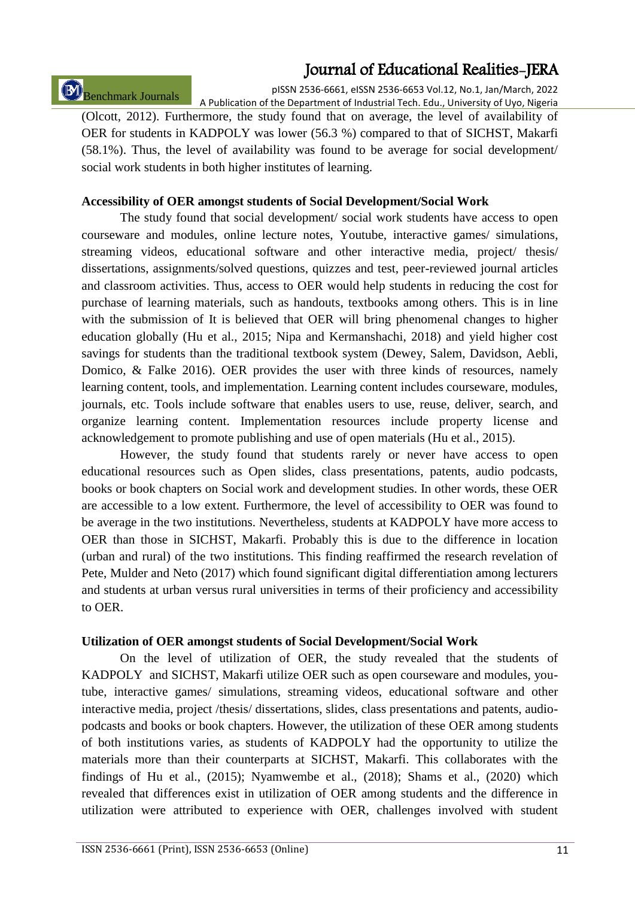# Benchmark Journals

pISSN 2536-6661, eISSN 2536-6653 Vol.12, No.1, Jan/March, 2022 A Publication of the Department of Industrial Tech. Edu., University of Uyo, Nigeria

(Olcott, 2012). Furthermore, the study found that on average, the level of availability of OER for students in KADPOLY was lower (56.3 %) compared to that of SICHST, Makarfi (58.1%). Thus, the level of availability was found to be average for social development/ social work students in both higher institutes of learning.

### **Accessibility of OER amongst students of Social Development/Social Work**

The study found that social development/ social work students have access to open courseware and modules, online lecture notes, Youtube, interactive games/ simulations, streaming videos, educational software and other interactive media, project/ thesis/ dissertations, assignments/solved questions, quizzes and test, peer-reviewed journal articles and classroom activities. Thus, access to OER would help students in reducing the cost for purchase of learning materials, such as handouts, textbooks among others. This is in line with the submission of It is believed that OER will bring phenomenal changes to higher education globally (Hu et al., 2015; Nipa and Kermanshachi, 2018) and yield higher cost savings for students than the traditional textbook system (Dewey, Salem, Davidson, Aebli, Domico, & Falke 2016). OER provides the user with three kinds of resources, namely learning content, tools, and implementation. Learning content includes courseware, modules, journals, etc. Tools include software that enables users to use, reuse, deliver, search, and organize learning content. Implementation resources include property license and acknowledgement to promote publishing and use of open materials (Hu et al., 2015).

However, the study found that students rarely or never have access to open educational resources such as Open slides, class presentations, patents, audio podcasts, books or book chapters on Social work and development studies. In other words, these OER are accessible to a low extent. Furthermore, the level of accessibility to OER was found to be average in the two institutions. Nevertheless, students at KADPOLY have more access to OER than those in SICHST, Makarfi. Probably this is due to the difference in location (urban and rural) of the two institutions. This finding reaffirmed the research revelation of Pete, Mulder and Neto (2017) which found significant digital differentiation among lecturers and students at urban versus rural universities in terms of their proficiency and accessibility to OER.

#### **Utilization of OER amongst students of Social Development/Social Work**

On the level of utilization of OER, the study revealed that the students of KADPOLY and SICHST, Makarfi utilize OER such as open courseware and modules, youtube, interactive games/ simulations, streaming videos, educational software and other interactive media, project /thesis/ dissertations, slides, class presentations and patents, audiopodcasts and books or book chapters. However, the utilization of these OER among students of both institutions varies, as students of KADPOLY had the opportunity to utilize the materials more than their counterparts at SICHST, Makarfi. This collaborates with the findings of Hu et al., (2015); Nyamwembe et al., (2018); Shams et al., (2020) which revealed that differences exist in utilization of OER among students and the difference in utilization were attributed to experience with OER, challenges involved with student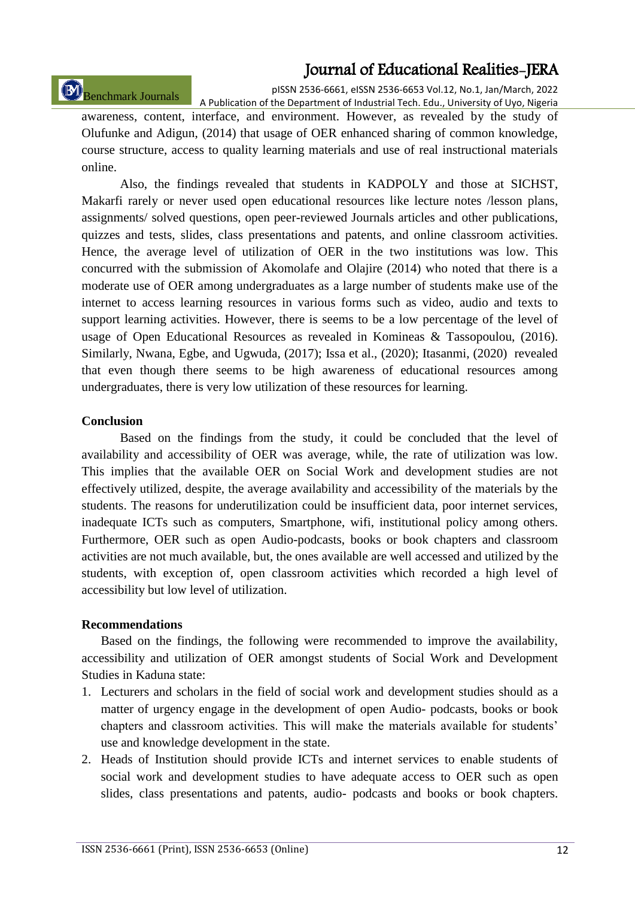# Benchmark Journals

pISSN 2536-6661, eISSN 2536-6653 Vol.12, No.1, Jan/March, 2022 A Publication of the Department of Industrial Tech. Edu., University of Uyo, Nigeria

awareness, content, interface, and environment. However, as revealed by the study of Olufunke and Adigun, (2014) that usage of OER enhanced sharing of common knowledge, course structure, access to quality learning materials and use of real instructional materials online.

Also, the findings revealed that students in KADPOLY and those at SICHST, Makarfi rarely or never used open educational resources like lecture notes /lesson plans, assignments/ solved questions, open peer-reviewed Journals articles and other publications, quizzes and tests, slides, class presentations and patents, and online classroom activities. Hence, the average level of utilization of OER in the two institutions was low. This concurred with the submission of Akomolafe and Olajire (2014) who noted that there is a moderate use of OER among undergraduates as a large number of students make use of the internet to access learning resources in various forms such as video, audio and texts to support learning activities. However, there is seems to be a low percentage of the level of usage of Open Educational Resources as revealed in Komineas & Tassopoulou, (2016). Similarly, Nwana, Egbe, and Ugwuda, (2017); Issa et al., (2020); Itasanmi, (2020) revealed that even though there seems to be high awareness of educational resources among undergraduates, there is very low utilization of these resources for learning.

#### **Conclusion**

Based on the findings from the study, it could be concluded that the level of availability and accessibility of OER was average, while, the rate of utilization was low. This implies that the available OER on Social Work and development studies are not effectively utilized, despite, the average availability and accessibility of the materials by the students. The reasons for underutilization could be insufficient data, poor internet services, inadequate ICTs such as computers, Smartphone, wifi, institutional policy among others. Furthermore, OER such as open Audio-podcasts, books or book chapters and classroom activities are not much available, but, the ones available are well accessed and utilized by the students, with exception of, open classroom activities which recorded a high level of accessibility but low level of utilization.

#### **Recommendations**

Based on the findings, the following were recommended to improve the availability, accessibility and utilization of OER amongst students of Social Work and Development Studies in Kaduna state:

- 1. Lecturers and scholars in the field of social work and development studies should as a matter of urgency engage in the development of open Audio- podcasts, books or book chapters and classroom activities. This will make the materials available for students' use and knowledge development in the state.
- 2. Heads of Institution should provide ICTs and internet services to enable students of social work and development studies to have adequate access to OER such as open slides, class presentations and patents, audio- podcasts and books or book chapters.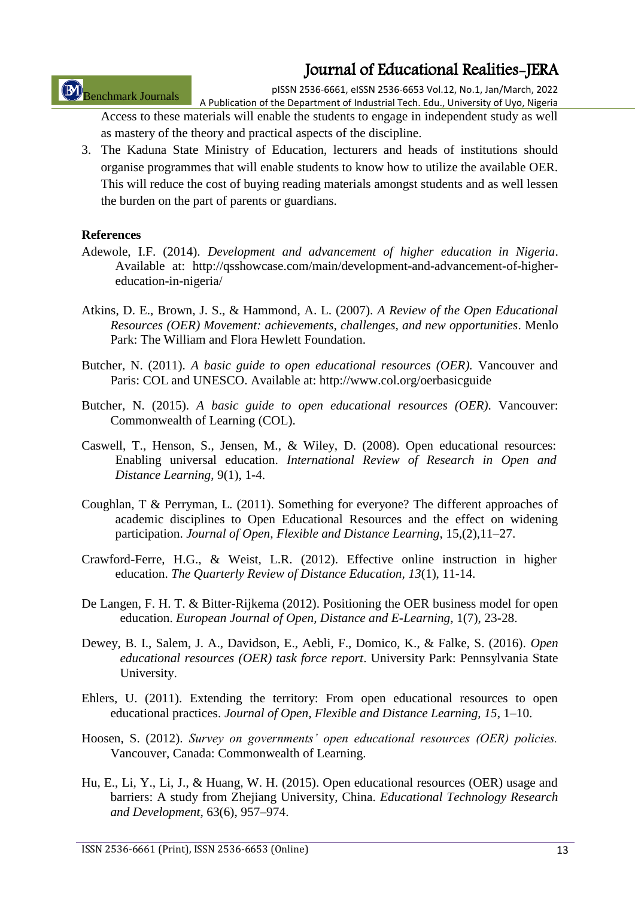Benchmark Journals

pISSN 2536-6661, eISSN 2536-6653 Vol.12, No.1, Jan/March, 2022 A Publication of the Department of Industrial Tech. Edu., University of Uyo, Nigeria

Access to these materials will enable the students to engage in independent study as well as mastery of the theory and practical aspects of the discipline.

3. The Kaduna State Ministry of Education, lecturers and heads of institutions should organise programmes that will enable students to know how to utilize the available OER. This will reduce the cost of buying reading materials amongst students and as well lessen the burden on the part of parents or guardians.

#### **References**

- Adewole, I.F. (2014). *Development and advancement of higher education in Nigeria*. Available at: http://qsshowcase.com/main/development-and-advancement-of-highereducation-in-nigeria/
- Atkins, D. E., Brown, J. S., & Hammond, A. L. (2007). *A Review of the Open Educational Resources (OER) Movement: achievements, challenges, and new opportunities*. Menlo Park: The William and Flora Hewlett Foundation.
- Butcher, N. (2011). *A basic guide to open educational resources (OER).* Vancouver and Paris: COL and UNESCO. Available at: http://www.col.org/oerbasicguide
- Butcher, N. (2015). *A basic guide to open educational resources (OER)*. Vancouver: Commonwealth of Learning (COL).
- Caswell, T., Henson, S., Jensen, M., & Wiley, D. (2008). Open educational resources: Enabling universal education. *International Review of Research in Open and Distance Learning*, 9(1), 1-4.
- Coughlan, T & Perryman, L. (2011). Something for everyone? The different approaches of academic disciplines to Open Educational Resources and the effect on widening participation. *Journal of Open, Flexible and Distance Learning*, 15,(2),11–27.
- Crawford-Ferre, H.G., & Weist, L.R. (2012). Effective online instruction in higher education. *The Quarterly Review of Distance Education, 13*(1), 11-14.
- De Langen, F. H. T. & Bitter-Rijkema (2012). Positioning the OER business model for open education. *European Journal of Open, Distance and E-Learning*, 1(7), 23-28.
- Dewey, B. I., Salem, J. A., Davidson, E., Aebli, F., Domico, K., & Falke, S. (2016). *Open educational resources (OER) task force report*. University Park: Pennsylvania State University.
- Ehlers, U. (2011). Extending the territory: From open educational resources to open educational practices. *Journal of Open, Flexible and Distance Learning, 15*, 1–10.
- Hoosen, S. (2012). *Survey on governments' open educational resources (OER) policies.* Vancouver, Canada: Commonwealth of Learning.
- Hu, E., Li, Y., Li, J., & Huang, W. H. (2015). Open educational resources (OER) usage and barriers: A study from Zhejiang University, China. *Educational Technology Research and Development*, 63(6), 957–974.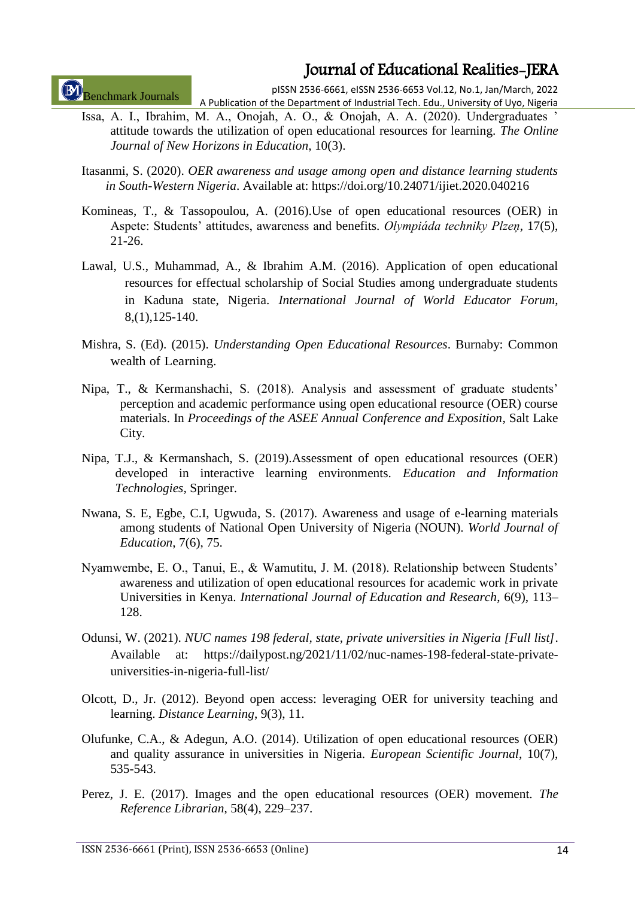Benchmark Journals

pISSN 2536-6661, eISSN 2536-6653 Vol.12, No.1, Jan/March, 2022 A Publication of the Department of Industrial Tech. Edu., University of Uyo, Nigeria

- Issa, A. I., Ibrahim, M. A., Onojah, A. O., & Onojah, A. A. (2020). Undergraduates ' attitude towards the utilization of open educational resources for learning. *The Online Journal of New Horizons in Education*, 10(3).
- Itasanmi, S. (2020). *OER awareness and usage among open and distance learning students in South-Western Nigeria*. Available at: https://doi.org/10.24071/ijiet.2020.040216
- Komineas, T., & Tassopoulou, A. (2016).Use of open educational resources (OER) in Aspete: Students' attitudes, awareness and benefits. *Olympiáda techniky Plzeņ*, 17(5), 21-26.
- Lawal, U.S., Muhammad, A., & Ibrahim A.M. (2016). Application of open educational resources for effectual scholarship of Social Studies among undergraduate students in Kaduna state, Nigeria. *International Journal of World Educator Forum*, 8,(1),125-140.
- Mishra, S. (Ed). (2015). *Understanding Open Educational Resources*. Burnaby: Common wealth of Learning.
- Nipa, T., & Kermanshachi, S. (2018). Analysis and assessment of graduate students' perception and academic performance using open educational resource (OER) course materials. In *Proceedings of the ASEE Annual Conference and Exposition*, Salt Lake City.
- Nipa, T.J., & Kermanshach, S. (2019).Assessment of open educational resources (OER) developed in interactive learning environments. *Education and Information Technologies,* Springer.
- Nwana, S. E, Egbe, C.I, Ugwuda, S. (2017). Awareness and usage of e-learning materials among students of National Open University of Nigeria (NOUN). *World Journal of Education*, 7(6), 75.
- Nyamwembe, E. O., Tanui, E., & Wamutitu, J. M. (2018). Relationship between Students' awareness and utilization of open educational resources for academic work in private Universities in Kenya. *International Journal of Education and Research*, 6(9), 113– 128.
- Odunsi, W. (2021). *NUC names 198 federal, state, private universities in Nigeria [Full list]*. Available at: https://dailypost.ng/2021/11/02/nuc-names-198-federal-state-privateuniversities-in-nigeria-full-list/
- Olcott, D., Jr. (2012). Beyond open access: leveraging OER for university teaching and learning. *Distance Learning*, 9(3), 11.
- Olufunke, C.A., & Adegun, A.O. (2014). Utilization of open educational resources (OER) and quality assurance in universities in Nigeria. *European Scientific Journal*, 10(7), 535-543.
- Perez, J. E. (2017). Images and the open educational resources (OER) movement. *The Reference Librarian*, 58(4), 229–237.